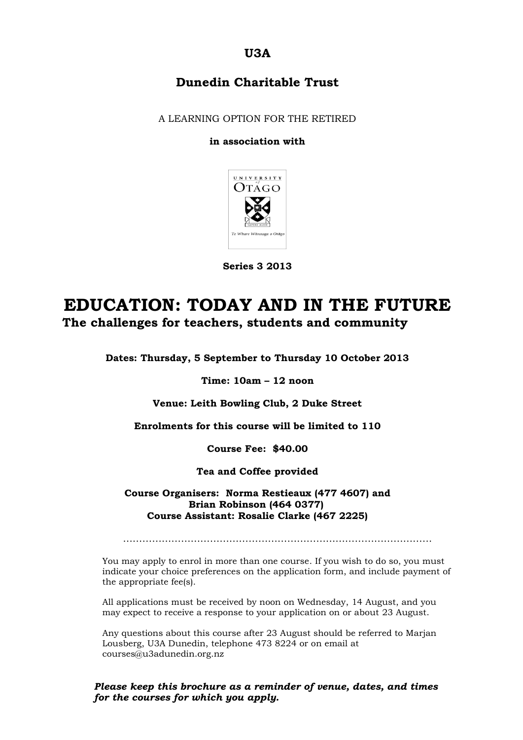**U3A**

### **Dunedin Charitable Trust**

A LEARNING OPTION FOR THE RETIRED

#### **in association with**



**Series 3 2013**

## **EDUCATION: TODAY AND IN THE FUTURE The challenges for teachers, students and community**

**Dates: Thursday, 5 September to Thursday 10 October 2013**

**Time: 10am – 12 noon**

**Venue: Leith Bowling Club, 2 Duke Street**

**Enrolments for this course will be limited to 110**

**Course Fee: \$40.00**

**Tea and Coffee provided**

**Course Organisers: Norma Restieaux (477 4607) and Brian Robinson (464 0377) Course Assistant: Rosalie Clarke (467 2225)**

……………………………………………………………………………………

You may apply to enrol in more than one course. If you wish to do so, you must indicate your choice preferences on the application form, and include payment of the appropriate fee(s).

All applications must be received by noon on Wednesday, 14 August, and you may expect to receive a response to your application on or about 23 August.

Any questions about this course after 23 August should be referred to Marjan Lousberg, U3A Dunedin, telephone 473 8224 or on email at courses@u3adunedin.org.nz

*Please keep this brochure as a reminder of venue, dates, and times for the courses for which you apply.*